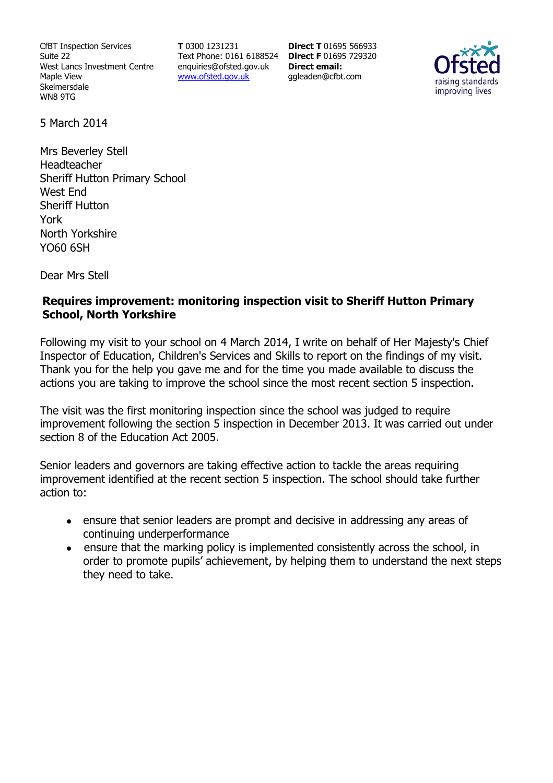CfBT Inspection Services Suite 22 West Lancs Investment Centre Maple View Skelmersdale WN8 9TG

**T** 0300 1231231 Text Phone: 0161 6188524 **Direct F** 01695 729320 enquiries@ofsted.gov.uk www.ofsted.gov.uk

**Direct T** 01695 566933 **Direct email:**  ggleaden@cfbt.com



5 March 2014

Mrs Beverley Stell Headteacher Sheriff Hutton Primary School West End Sheriff Hutton York North Yorkshire YO60 6SH

Dear Mrs Stell

### **Requires improvement: monitoring inspection visit to Sheriff Hutton Primary School, North Yorkshire**

Following my visit to your school on 4 March 2014, I write on behalf of Her Majesty's Chief Inspector of Education, Children's Services and Skills to report on the findings of my visit. Thank you for the help you gave me and for the time you made available to discuss the actions you are taking to improve the school since the most recent section 5 inspection.

The visit was the first monitoring inspection since the school was judged to require improvement following the section 5 inspection in December 2013. It was carried out under section 8 of the Education Act 2005.

Senior leaders and governors are taking effective action to tackle the areas requiring improvement identified at the recent section 5 inspection. The school should take further action to:

- ensure that senior leaders are prompt and decisive in addressing any areas of continuing underperformance
- ensure that the marking policy is implemented consistently across the school, in order to promote pupils' achievement, by helping them to understand the next steps they need to take.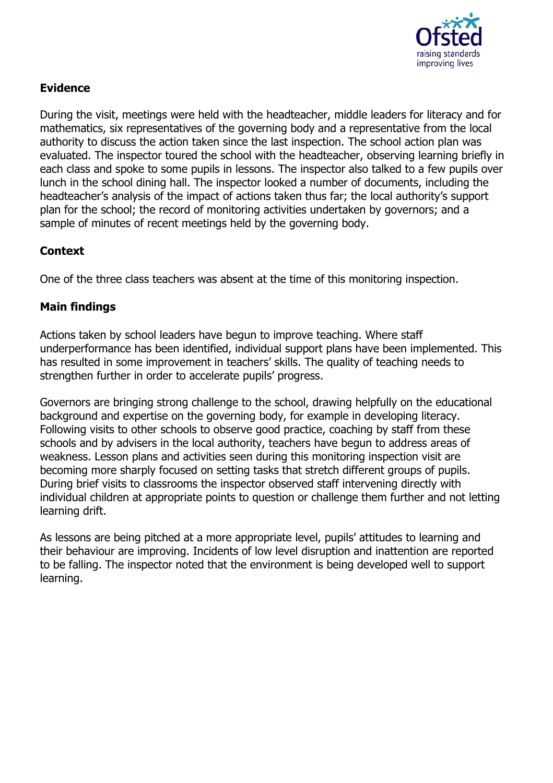

## **Evidence**

During the visit, meetings were held with the headteacher, middle leaders for literacy and for mathematics, six representatives of the governing body and a representative from the local authority to discuss the action taken since the last inspection. The school action plan was evaluated. The inspector toured the school with the headteacher, observing learning briefly in each class and spoke to some pupils in lessons. The inspector also talked to a few pupils over lunch in the school dining hall. The inspector looked a number of documents, including the headteacher's analysis of the impact of actions taken thus far; the local authority's support plan for the school; the record of monitoring activities undertaken by governors; and a sample of minutes of recent meetings held by the governing body.

# **Context**

One of the three class teachers was absent at the time of this monitoring inspection.

## **Main findings**

Actions taken by school leaders have begun to improve teaching. Where staff underperformance has been identified, individual support plans have been implemented. This has resulted in some improvement in teachers' skills. The quality of teaching needs to strengthen further in order to accelerate pupils' progress.

Governors are bringing strong challenge to the school, drawing helpfully on the educational background and expertise on the governing body, for example in developing literacy. Following visits to other schools to observe good practice, coaching by staff from these schools and by advisers in the local authority, teachers have begun to address areas of weakness. Lesson plans and activities seen during this monitoring inspection visit are becoming more sharply focused on setting tasks that stretch different groups of pupils. During brief visits to classrooms the inspector observed staff intervening directly with individual children at appropriate points to question or challenge them further and not letting learning drift.

As lessons are being pitched at a more appropriate level, pupils' attitudes to learning and their behaviour are improving. Incidents of low level disruption and inattention are reported to be falling. The inspector noted that the environment is being developed well to support learning.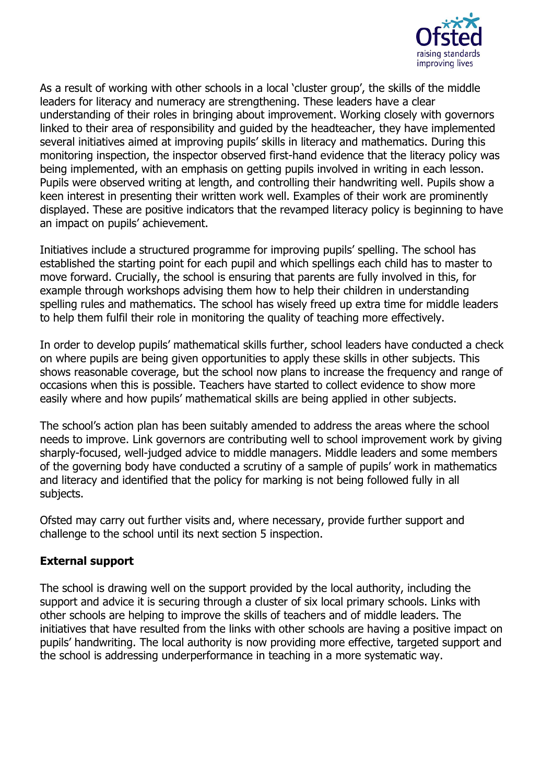

As a result of working with other schools in a local 'cluster group', the skills of the middle leaders for literacy and numeracy are strengthening. These leaders have a clear understanding of their roles in bringing about improvement. Working closely with governors linked to their area of responsibility and guided by the headteacher, they have implemented several initiatives aimed at improving pupils' skills in literacy and mathematics. During this monitoring inspection, the inspector observed first-hand evidence that the literacy policy was being implemented, with an emphasis on getting pupils involved in writing in each lesson. Pupils were observed writing at length, and controlling their handwriting well. Pupils show a keen interest in presenting their written work well. Examples of their work are prominently displayed. These are positive indicators that the revamped literacy policy is beginning to have an impact on pupils' achievement.

Initiatives include a structured programme for improving pupils' spelling. The school has established the starting point for each pupil and which spellings each child has to master to move forward. Crucially, the school is ensuring that parents are fully involved in this, for example through workshops advising them how to help their children in understanding spelling rules and mathematics. The school has wisely freed up extra time for middle leaders to help them fulfil their role in monitoring the quality of teaching more effectively.

In order to develop pupils' mathematical skills further, school leaders have conducted a check on where pupils are being given opportunities to apply these skills in other subjects. This shows reasonable coverage, but the school now plans to increase the frequency and range of occasions when this is possible. Teachers have started to collect evidence to show more easily where and how pupils' mathematical skills are being applied in other subjects.

The school's action plan has been suitably amended to address the areas where the school needs to improve. Link governors are contributing well to school improvement work by giving sharply-focused, well-judged advice to middle managers. Middle leaders and some members of the governing body have conducted a scrutiny of a sample of pupils' work in mathematics and literacy and identified that the policy for marking is not being followed fully in all subjects.

Ofsted may carry out further visits and, where necessary, provide further support and challenge to the school until its next section 5 inspection.

#### **External support**

The school is drawing well on the support provided by the local authority, including the support and advice it is securing through a cluster of six local primary schools. Links with other schools are helping to improve the skills of teachers and of middle leaders. The initiatives that have resulted from the links with other schools are having a positive impact on pupils' handwriting. The local authority is now providing more effective, targeted support and the school is addressing underperformance in teaching in a more systematic way.